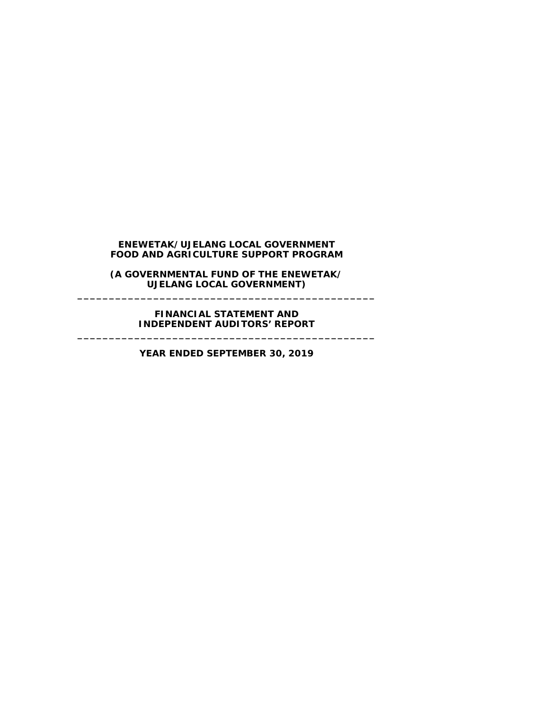**(A GOVERNMENTAL FUND OF THE ENEWETAK/ UJELANG LOCAL GOVERNMENT) \_\_\_\_\_\_\_\_\_\_\_\_\_\_\_\_\_\_\_\_\_\_\_\_\_\_\_\_\_\_\_\_\_\_\_\_\_\_\_\_\_\_\_\_\_\_\_**

**FINANCIAL STATEMENT AND INDEPENDENT AUDITORS' REPORT \_\_\_\_\_\_\_\_\_\_\_\_\_\_\_\_\_\_\_\_\_\_\_\_\_\_\_\_\_\_\_\_\_\_\_\_\_\_\_\_\_\_\_\_\_\_\_**

**YEAR ENDED SEPTEMBER 30, 2019**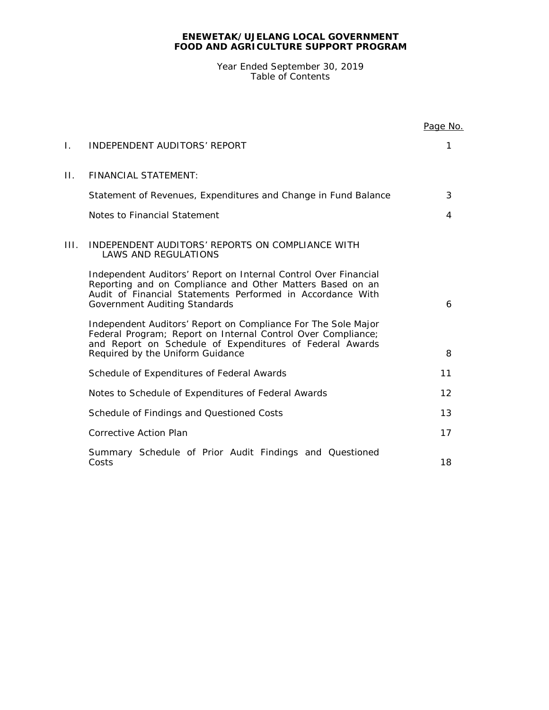Year Ended September 30, 2019 Table of Contents

|      |                                                                                                                                                                                                                               | Page No. |
|------|-------------------------------------------------------------------------------------------------------------------------------------------------------------------------------------------------------------------------------|----------|
| Ι.   | INDEPENDENT AUDITORS' REPORT                                                                                                                                                                                                  | 1        |
| П.   | <b>FINANCIAL STATEMENT:</b>                                                                                                                                                                                                   |          |
|      | Statement of Revenues, Expenditures and Change in Fund Balance                                                                                                                                                                | 3        |
|      | Notes to Financial Statement                                                                                                                                                                                                  | 4        |
| III. | INDEPENDENT AUDITORS' REPORTS ON COMPLIANCE WITH<br><b>LAWS AND REGULATIONS</b>                                                                                                                                               |          |
|      | Independent Auditors' Report on Internal Control Over Financial<br>Reporting and on Compliance and Other Matters Based on an<br>Audit of Financial Statements Performed in Accordance With<br>Government Auditing Standards   | 6        |
|      | Independent Auditors' Report on Compliance For The Sole Major<br>Federal Program; Report on Internal Control Over Compliance;<br>and Report on Schedule of Expenditures of Federal Awards<br>Required by the Uniform Guidance | 8        |
|      | Schedule of Expenditures of Federal Awards                                                                                                                                                                                    | 11       |
|      | Notes to Schedule of Expenditures of Federal Awards                                                                                                                                                                           | 12       |
|      | Schedule of Findings and Questioned Costs                                                                                                                                                                                     | 13       |
|      | Corrective Action Plan                                                                                                                                                                                                        | 17       |
|      | Summary Schedule of Prior Audit Findings and Questioned<br>Costs                                                                                                                                                              | 18       |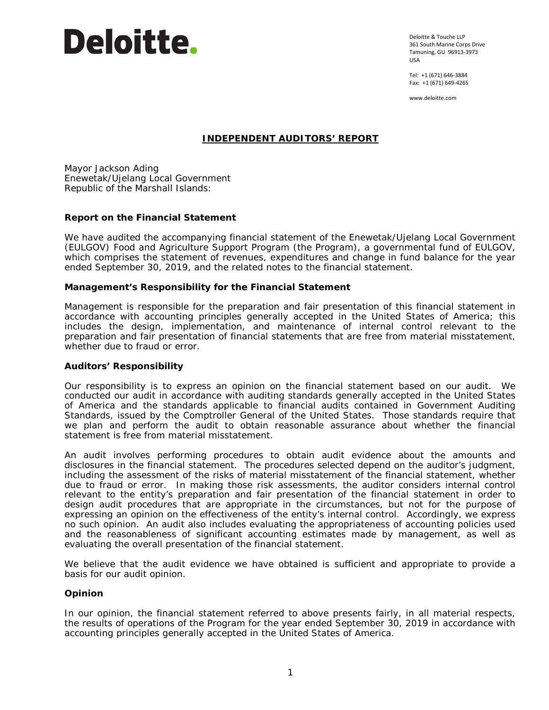

Deloitte & Touche LLP 361 South Marine Corps Drive Tamuning, GU 96913-3973 USA

Tel: +1 (671) 646-3884 Fax: +1 (671) 649-4265

www.deloitte.com

#### **INDEPENDENT AUDITORS' REPORT**

Mayor Jackson Ading Enewetak/Ujelang Local Government Republic of the Marshall Islands:

#### **Report on the Financial Statement**

We have audited the accompanying financial statement of the Enewetak/Ujelang Local Government (EULGOV) Food and Agriculture Support Program (the Program), a governmental fund of EULGOV, which comprises the statement of revenues, expenditures and change in fund balance for the year ended September 30, 2019, and the related notes to the financial statement.

#### *Management's Responsibility for the Financial Statement*

Management is responsible for the preparation and fair presentation of this financial statement in accordance with accounting principles generally accepted in the United States of America; this includes the design, implementation, and maintenance of internal control relevant to the preparation and fair presentation of financial statements that are free from material misstatement, whether due to fraud or error.

#### *Auditors' Responsibility*

Our responsibility is to express an opinion on the financial statement based on our audit. We conducted our audit in accordance with auditing standards generally accepted in the United States of America and the standards applicable to financial audits contained in *Government Auditing Standards*, issued by the Comptroller General of the United States. Those standards require that we plan and perform the audit to obtain reasonable assurance about whether the financial statement is free from material misstatement.

An audit involves performing procedures to obtain audit evidence about the amounts and disclosures in the financial statement. The procedures selected depend on the auditor's judgment, including the assessment of the risks of material misstatement of the financial statement, whether due to fraud or error. In making those risk assessments, the auditor considers internal control relevant to the entity's preparation and fair presentation of the financial statement in order to design audit procedures that are appropriate in the circumstances, but not for the purpose of expressing an opinion on the effectiveness of the entity's internal control. Accordingly, we express no such opinion. An audit also includes evaluating the appropriateness of accounting policies used and the reasonableness of significant accounting estimates made by management, as well as evaluating the overall presentation of the financial statement.

We believe that the audit evidence we have obtained is sufficient and appropriate to provide a basis for our audit opinion.

## *Opinion*

In our opinion, the financial statement referred to above presents fairly, in all material respects, the results of operations of the Program for the year ended September 30, 2019 in accordance with accounting principles generally accepted in the United States of America.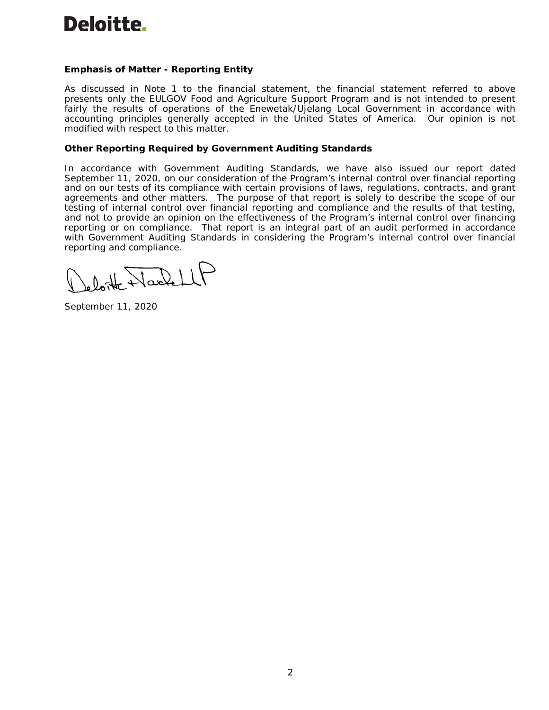# **Emphasis of Matter - Reporting Entity**

As discussed in Note 1 to the financial statement, the financial statement referred to above presents only the EULGOV Food and Agriculture Support Program and is not intended to present fairly the results of operations of the Enewetak/Ujelang Local Government in accordance with accounting principles generally accepted in the United States of America. Our opinion is not modified with respect to this matter.

#### **Other Reporting Required by** *Government Auditing Standards*

In accordance with *Government Auditing Standards*, we have also issued our report dated September 11, 2020, on our consideration of the Program's internal control over financial reporting and on our tests of its compliance with certain provisions of laws, regulations, contracts, and grant agreements and other matters. The purpose of that report is solely to describe the scope of our testing of internal control over financial reporting and compliance and the results of that testing, and not to provide an opinion on the effectiveness of the Program's internal control over financing reporting or on compliance. That report is an integral part of an audit performed in accordance with *Government Auditing Standards* in considering the Program's internal control over financial reporting and compliance.

Point Nachell

September 11, 2020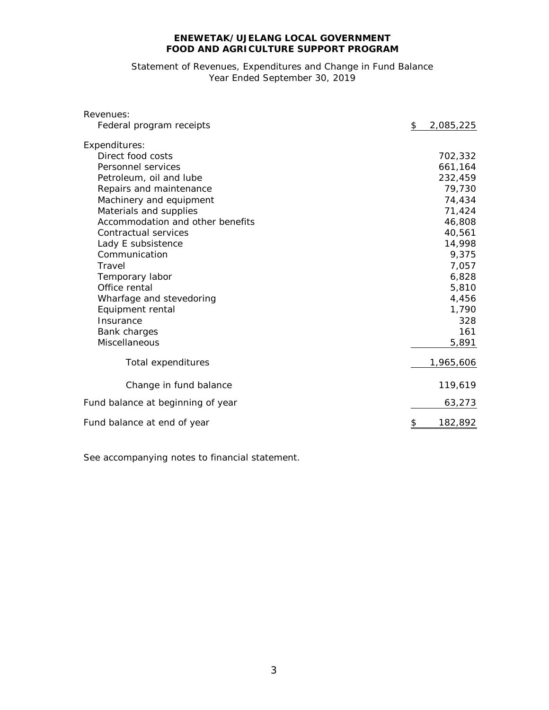# Statement of Revenues, Expenditures and Change in Fund Balance Year Ended September 30, 2019

| Revenues:                         |                 |
|-----------------------------------|-----------------|
| Federal program receipts          | \$<br>2,085,225 |
| Expenditures:                     |                 |
| Direct food costs                 | 702,332         |
| Personnel services                | 661,164         |
| Petroleum, oil and lube           | 232,459         |
| Repairs and maintenance           | 79,730          |
| Machinery and equipment           | 74,434          |
| Materials and supplies            | 71,424          |
| Accommodation and other benefits  | 46,808          |
| Contractual services              | 40,561          |
| Lady E subsistence                | 14,998          |
| Communication                     | 9,375           |
| Travel                            | 7,057           |
| Temporary labor                   | 6,828           |
| Office rental                     | 5,810           |
| Wharfage and stevedoring          | 4,456           |
| Equipment rental                  | 1,790           |
| Insurance                         | 328             |
| Bank charges                      | 161             |
| Miscellaneous                     | 5,891           |
| Total expenditures                | 1,965,606       |
| Change in fund balance            | 119,619         |
| Fund balance at beginning of year | 63,273          |
| Fund balance at end of year       | \$<br>182,892   |

See accompanying notes to financial statement.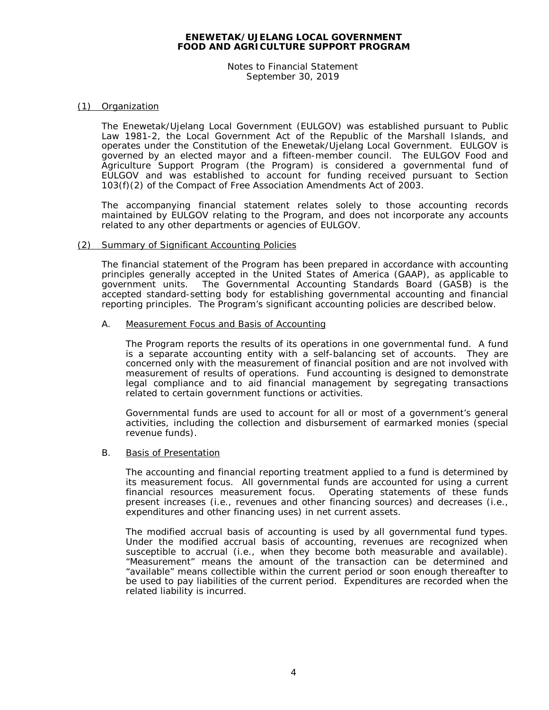Notes to Financial Statement September 30, 2019

#### (1) Organization

The Enewetak/Ujelang Local Government (EULGOV) was established pursuant to Public Law 1981-2, the Local Government Act of the Republic of the Marshall Islands, and operates under the Constitution of the Enewetak/Ujelang Local Government. EULGOV is governed by an elected mayor and a fifteen-member council. The EULGOV Food and Agriculture Support Program (the Program) is considered a governmental fund of EULGOV and was established to account for funding received pursuant to Section 103(f)(2) of the Compact of Free Association Amendments Act of 2003.

The accompanying financial statement relates solely to those accounting records maintained by EULGOV relating to the Program, and does not incorporate any accounts related to any other departments or agencies of EULGOV.

#### (2) Summary of Significant Accounting Policies

The financial statement of the Program has been prepared in accordance with accounting principles generally accepted in the United States of America (GAAP), as applicable to government units. The Governmental Accounting Standards Board (GASB) is the accepted standard-setting body for establishing governmental accounting and financial reporting principles. The Program's significant accounting policies are described below.

#### A. Measurement Focus and Basis of Accounting

The Program reports the results of its operations in one governmental fund. A fund is a separate accounting entity with a self-balancing set of accounts. They are concerned only with the measurement of financial position and are not involved with measurement of results of operations. Fund accounting is designed to demonstrate legal compliance and to aid financial management by segregating transactions related to certain government functions or activities.

Governmental funds are used to account for all or most of a government's general activities, including the collection and disbursement of earmarked monies (special revenue funds).

#### B. Basis of Presentation

The accounting and financial reporting treatment applied to a fund is determined by its measurement focus. All governmental funds are accounted for using a current Operating statements of these funds present increases (i.e., revenues and other financing sources) and decreases (i.e., expenditures and other financing uses) in net current assets.

The modified accrual basis of accounting is used by all governmental fund types. Under the modified accrual basis of accounting, revenues are recognized when susceptible to accrual (i.e., when they become both measurable and available). "Measurement" means the amount of the transaction can be determined and "available" means collectible within the current period or soon enough thereafter to be used to pay liabilities of the current period. Expenditures are recorded when the related liability is incurred.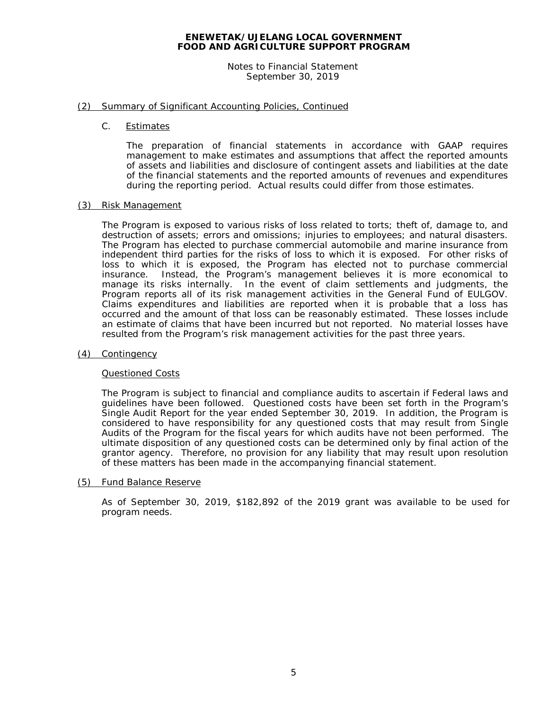Notes to Financial Statement September 30, 2019

#### (2) Summary of Significant Accounting Policies, Continued

C. Estimates

The preparation of financial statements in accordance with GAAP requires management to make estimates and assumptions that affect the reported amounts of assets and liabilities and disclosure of contingent assets and liabilities at the date of the financial statements and the reported amounts of revenues and expenditures during the reporting period. Actual results could differ from those estimates.

#### (3) Risk Management

The Program is exposed to various risks of loss related to torts; theft of, damage to, and destruction of assets; errors and omissions; injuries to employees; and natural disasters. The Program has elected to purchase commercial automobile and marine insurance from independent third parties for the risks of loss to which it is exposed. For other risks of loss to which it is exposed, the Program has elected not to purchase commercial insurance. Instead, the Program's management believes it is more economical to manage its risks internally. In the event of claim settlements and judgments, the Program reports all of its risk management activities in the General Fund of EULGOV. Claims expenditures and liabilities are reported when it is probable that a loss has occurred and the amount of that loss can be reasonably estimated. These losses include an estimate of claims that have been incurred but not reported. No material losses have resulted from the Program's risk management activities for the past three years.

#### (4) Contingency

#### Questioned Costs

The Program is subject to financial and compliance audits to ascertain if Federal laws and guidelines have been followed. Questioned costs have been set forth in the Program's Single Audit Report for the year ended September 30, 2019. In addition, the Program is considered to have responsibility for any questioned costs that may result from Single Audits of the Program for the fiscal years for which audits have not been performed. The ultimate disposition of any questioned costs can be determined only by final action of the grantor agency. Therefore, no provision for any liability that may result upon resolution of these matters has been made in the accompanying financial statement.

#### (5) Fund Balance Reserve

As of September 30, 2019, \$182,892 of the 2019 grant was available to be used for program needs.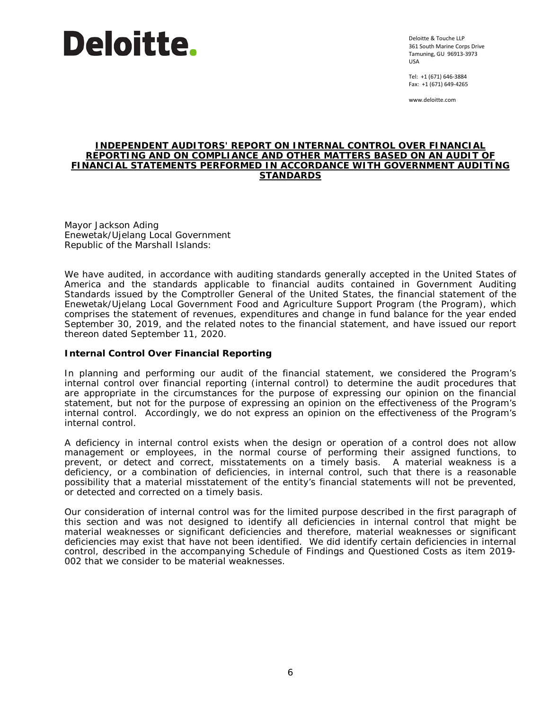

Deloitte & Touche LLP 361 South Marine Corps Drive Tamuning, GU 96913-3973 USA

Tel: +1 (671) 646-3884 Fax: +1 (671) 649-4265

www.deloitte.com

#### **INDEPENDENT AUDITORS' REPORT ON INTERNAL CONTROL OVER FINANCIAL REPORTING AND ON COMPLIANCE AND OTHER MATTERS BASED ON AN AUDIT OF FINANCIAL STATEMENTS PERFORMED IN ACCORDANCE WITH** *GOVERNMENT AUDITING STANDARDS*

Mayor Jackson Ading Enewetak/Ujelang Local Government Republic of the Marshall Islands:

We have audited, in accordance with auditing standards generally accepted in the United States of America and the standards applicable to financial audits contained in *Government Auditing Standards* issued by the Comptroller General of the United States, the financial statement of the Enewetak/Ujelang Local Government Food and Agriculture Support Program (the Program), which comprises the statement of revenues, expenditures and change in fund balance for the year ended September 30, 2019, and the related notes to the financial statement, and have issued our report thereon dated September 11, 2020.

#### **Internal Control Over Financial Reporting**

In planning and performing our audit of the financial statement, we considered the Program's internal control over financial reporting (internal control) to determine the audit procedures that are appropriate in the circumstances for the purpose of expressing our opinion on the financial statement, but not for the purpose of expressing an opinion on the effectiveness of the Program's internal control. Accordingly, we do not express an opinion on the effectiveness of the Program's internal control.

A *deficiency in internal control* exists when the design or operation of a control does not allow management or employees, in the normal course of performing their assigned functions, to prevent, or detect and correct, misstatements on a timely basis. A *material weakness* is a deficiency, or a combination of deficiencies, in internal control, such that there is a reasonable possibility that a material misstatement of the entity's financial statements will not be prevented, or detected and corrected on a timely basis.

Our consideration of internal control was for the limited purpose described in the first paragraph of this section and was not designed to identify all deficiencies in internal control that might be material weaknesses or significant deficiencies and therefore, material weaknesses or significant deficiencies may exist that have not been identified. We did identify certain deficiencies in internal control, described in the accompanying Schedule of Findings and Questioned Costs as item 2019- 002 that we consider to be material weaknesses.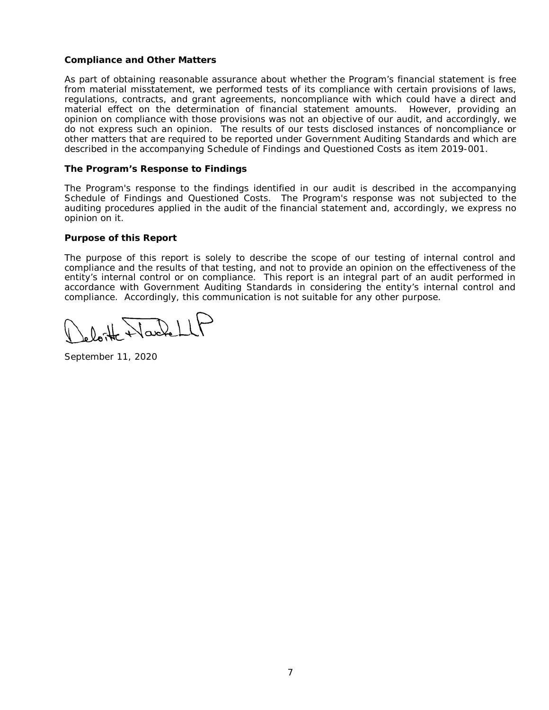#### **Compliance and Other Matters**

As part of obtaining reasonable assurance about whether the Program's financial statement is free from material misstatement, we performed tests of its compliance with certain provisions of laws, regulations, contracts, and grant agreements, noncompliance with which could have a direct and material effect on the determination of financial statement amounts. However, providing an opinion on compliance with those provisions was not an objective of our audit, and accordingly, we do not express such an opinion. The results of our tests disclosed instances of noncompliance or other matters that are required to be reported under *Government Auditing Standards* and which are described in the accompanying Schedule of Findings and Questioned Costs as item 2019-001.

#### **The Program's Response to Findings**

The Program's response to the findings identified in our audit is described in the accompanying Schedule of Findings and Questioned Costs. The Program's response was not subjected to the auditing procedures applied in the audit of the financial statement and, accordingly, we express no opinion on it.

#### **Purpose of this Report**

The purpose of this report is solely to describe the scope of our testing of internal control and compliance and the results of that testing, and not to provide an opinion on the effectiveness of the entity's internal control or on compliance. This report is an integral part of an audit performed in accordance with *Government Auditing Standards* in considering the entity's internal control and compliance. Accordingly, this communication is not suitable for any other purpose.

loite Wackell

September 11, 2020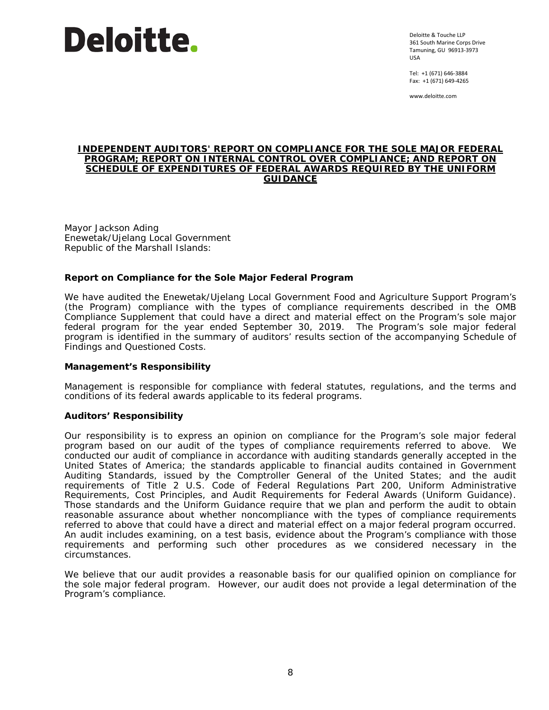Deloitte & Touche LLP 361 South Marine Corps Drive Tamuning, GU 96913-3973 USA

Tel: +1 (671) 646-3884 Fax: +1 (671) 649-4265

www.deloitte.com

#### **INDEPENDENT AUDITORS' REPORT ON COMPLIANCE FOR THE SOLE MAJOR FEDERAL PROGRAM; REPORT ON INTERNAL CONTROL OVER COMPLIANCE; AND REPORT ON SCHEDULE OF EXPENDITURES OF FEDERAL AWARDS REQUIRED BY THE UNIFORM GUIDANCE**

Mayor Jackson Ading Enewetak/Ujelang Local Government Republic of the Marshall Islands:

#### **Report on Compliance for the Sole Major Federal Program**

We have audited the Enewetak/Ujelang Local Government Food and Agriculture Support Program's (the Program) compliance with the types of compliance requirements described in the *OMB Compliance Supplement* that could have a direct and material effect on the Program's sole major federal program for the year ended September 30, 2019. The Program's sole major federal program is identified in the summary of auditors' results section of the accompanying Schedule of Findings and Questioned Costs.

#### *Management's Responsibility*

Management is responsible for compliance with federal statutes, regulations, and the terms and conditions of its federal awards applicable to its federal programs.

#### *Auditors' Responsibility*

Our responsibility is to express an opinion on compliance for the Program's sole major federal program based on our audit of the types of compliance requirements referred to above. We conducted our audit of compliance in accordance with auditing standards generally accepted in the United States of America; the standards applicable to financial audits contained in *Government Auditing Standards*, issued by the Comptroller General of the United States; and the audit requirements of Title 2 U.S. *Code of Federal Regulations* Part 200, *Uniform Administrative Requirements, Cost Principles, and Audit Requirements for Federal Awards* (Uniform Guidance). Those standards and the Uniform Guidance require that we plan and perform the audit to obtain reasonable assurance about whether noncompliance with the types of compliance requirements referred to above that could have a direct and material effect on a major federal program occurred. An audit includes examining, on a test basis, evidence about the Program's compliance with those requirements and performing such other procedures as we considered necessary in the circumstances.

We believe that our audit provides a reasonable basis for our qualified opinion on compliance for the sole major federal program. However, our audit does not provide a legal determination of the Program's compliance.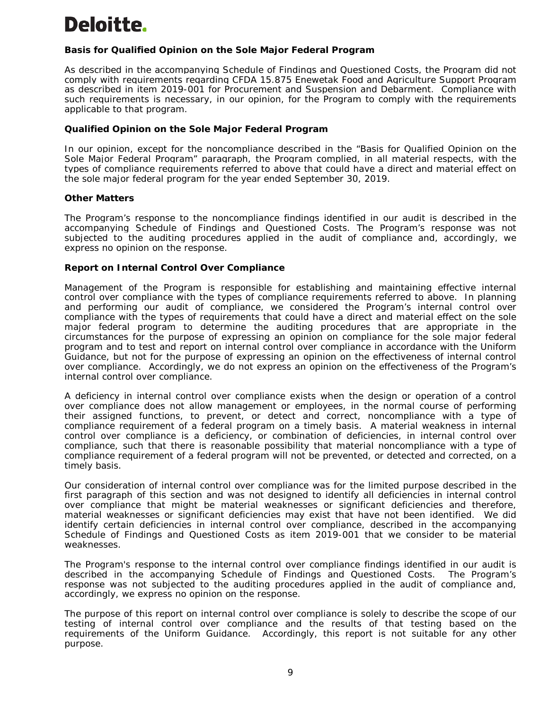# *Basis for Qualified Opinion on the Sole Major Federal Program*

As described in the accompanying Schedule of Findings and Questioned Costs, the Program did not comply with requirements regarding CFDA 15.875 Enewetak Food and Agriculture Support Program as described in item 2019-001 for Procurement and Suspension and Debarment. Compliance with such requirements is necessary, in our opinion, for the Program to comply with the requirements applicable to that program.

## *Qualified Opinion on the Sole Major Federal Program*

In our opinion, except for the noncompliance described in the "Basis for Qualified Opinion on the Sole Major Federal Program" paragraph, the Program complied, in all material respects, with the types of compliance requirements referred to above that could have a direct and material effect on the sole major federal program for the year ended September 30, 2019.

#### *Other Matters*

The Program's response to the noncompliance findings identified in our audit is described in the accompanying Schedule of Findings and Questioned Costs. The Program's response was not subjected to the auditing procedures applied in the audit of compliance and, accordingly, we express no opinion on the response.

#### **Report on Internal Control Over Compliance**

Management of the Program is responsible for establishing and maintaining effective internal control over compliance with the types of compliance requirements referred to above. In planning and performing our audit of compliance, we considered the Program's internal control over compliance with the types of requirements that could have a direct and material effect on the sole major federal program to determine the auditing procedures that are appropriate in the circumstances for the purpose of expressing an opinion on compliance for the sole major federal program and to test and report on internal control over compliance in accordance with the Uniform Guidance, but not for the purpose of expressing an opinion on the effectiveness of internal control over compliance. Accordingly, we do not express an opinion on the effectiveness of the Program's internal control over compliance.

A *deficiency in internal control over compliance* exists when the design or operation of a control over compliance does not allow management or employees, in the normal course of performing their assigned functions, to prevent, or detect and correct, noncompliance with a type of compliance requirement of a federal program on a timely basis. A *material weakness in internal control over compliance* is a deficiency, or combination of deficiencies, in internal control over compliance, such that there is reasonable possibility that material noncompliance with a type of compliance requirement of a federal program will not be prevented, or detected and corrected, on a timely basis.

Our consideration of internal control over compliance was for the limited purpose described in the first paragraph of this section and was not designed to identify all deficiencies in internal control over compliance that might be material weaknesses or significant deficiencies and therefore, material weaknesses or significant deficiencies may exist that have not been identified. We did identify certain deficiencies in internal control over compliance, described in the accompanying Schedule of Findings and Questioned Costs as item 2019-001 that we consider to be material weaknesses.

The Program's response to the internal control over compliance findings identified in our audit is described in the accompanying Schedule of Findings and Questioned Costs. The Program's response was not subjected to the auditing procedures applied in the audit of compliance and, accordingly, we express no opinion on the response.

The purpose of this report on internal control over compliance is solely to describe the scope of our testing of internal control over compliance and the results of that testing based on the requirements of the Uniform Guidance. Accordingly, this report is not suitable for any other purpose.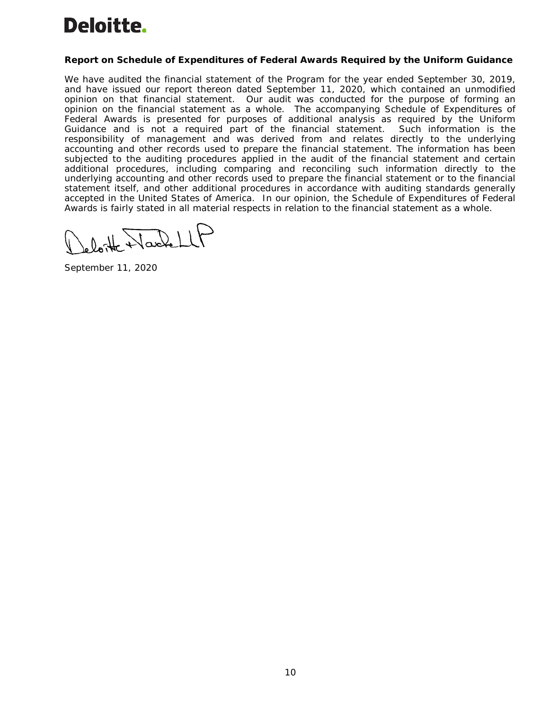#### **Report on Schedule of Expenditures of Federal Awards Required by the Uniform Guidance**

We have audited the financial statement of the Program for the year ended September 30, 2019, and have issued our report thereon dated September 11, 2020, which contained an unmodified opinion on that financial statement. Our audit was conducted for the purpose of forming an opinion on the financial statement as a whole. The accompanying Schedule of Expenditures of Federal Awards is presented for purposes of additional analysis as required by the Uniform<br>Guidance and is not a required part of the financial statement. Such information is the Guidance and is not a required part of the financial statement. responsibility of management and was derived from and relates directly to the underlying accounting and other records used to prepare the financial statement. The information has been subjected to the auditing procedures applied in the audit of the financial statement and certain additional procedures, including comparing and reconciling such information directly to the underlying accounting and other records used to prepare the financial statement or to the financial statement itself, and other additional procedures in accordance with auditing standards generally accepted in the United States of America. In our opinion, the Schedule of Expenditures of Federal Awards is fairly stated in all material respects in relation to the financial statement as a whole.

 $0.16$  Nackel

September 11, 2020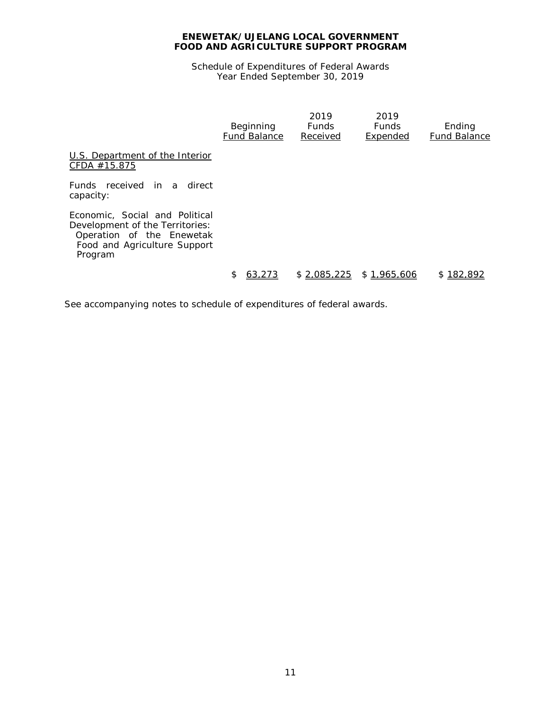Schedule of Expenditures of Federal Awards Year Ended September 30, 2019

|                                                                                                                                           | Beginning<br><b>Fund Balance</b> | 2019<br><b>Funds</b><br>Received | 2019<br>Funds<br><b>Expended</b> | Ending<br><b>Fund Balance</b> |
|-------------------------------------------------------------------------------------------------------------------------------------------|----------------------------------|----------------------------------|----------------------------------|-------------------------------|
| U.S. Department of the Interior<br>CFDA $#15.875$                                                                                         |                                  |                                  |                                  |                               |
| Funds received in a<br>direct<br>capacity:                                                                                                |                                  |                                  |                                  |                               |
| Economic, Social and Political<br>Development of the Territories:<br>Operation of the Enewetak<br>Food and Agriculture Support<br>Program |                                  |                                  |                                  |                               |
|                                                                                                                                           | 63.273                           | \$2.085.225                      | \$1,965,606                      | \$182,892                     |

See accompanying notes to schedule of expenditures of federal awards.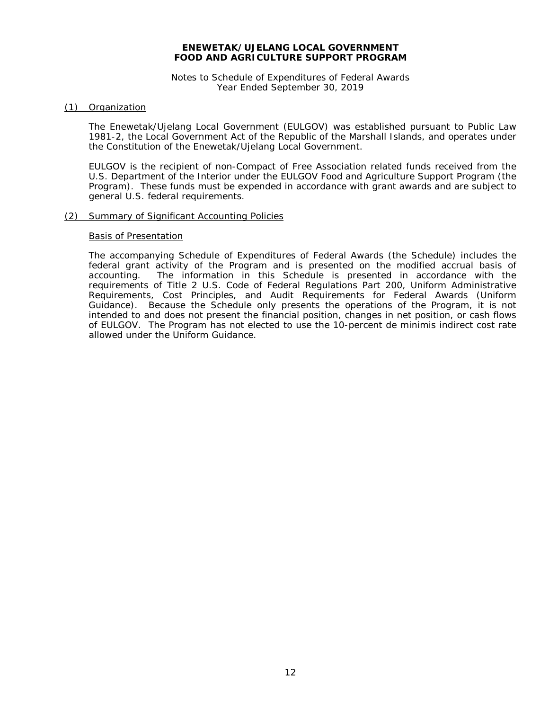Notes to Schedule of Expenditures of Federal Awards Year Ended September 30, 2019

#### (1) Organization

The Enewetak/Ujelang Local Government (EULGOV) was established pursuant to Public Law 1981-2, the Local Government Act of the Republic of the Marshall Islands, and operates under the Constitution of the Enewetak/Ujelang Local Government.

EULGOV is the recipient of non-Compact of Free Association related funds received from the U.S. Department of the Interior under the EULGOV Food and Agriculture Support Program (the Program). These funds must be expended in accordance with grant awards and are subject to general U.S. federal requirements.

#### (2) Summary of Significant Accounting Policies

#### Basis of Presentation

The accompanying Schedule of Expenditures of Federal Awards (the Schedule) includes the federal grant activity of the Program and is presented on the modified accrual basis of The information in this Schedule is presented in accordance with the requirements of Title 2 U.S. *Code of Federal Regulations* Part 200, *Uniform Administrative Requirements, Cost Principles, and Audit Requirements for Federal Awards* (Uniform Guidance). Because the Schedule only presents the operations of the Program, it is not intended to and does not present the financial position, changes in net position, or cash flows of EULGOV. The Program has not elected to use the 10-percent de minimis indirect cost rate allowed under the Uniform Guidance.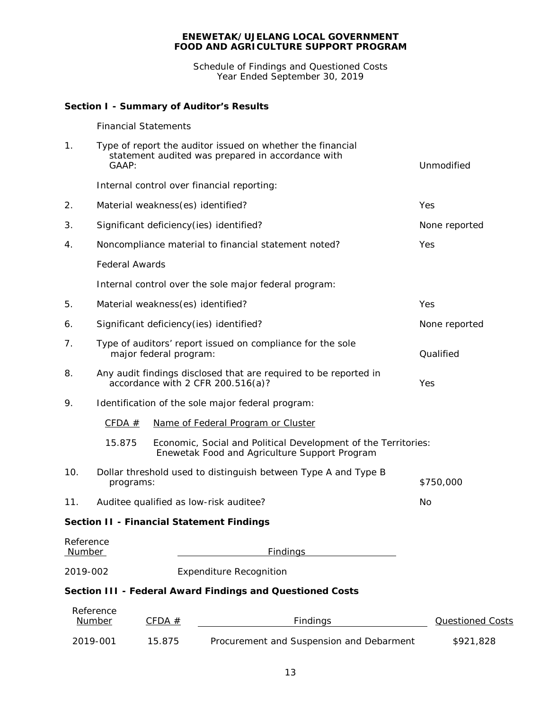Schedule of Findings and Questioned Costs Year Ended September 30, 2019

## **Section I - Summary of Auditor's Results**

#### *Financial Statements*

| 1.                  | GAAP:                                                                                | Type of report the auditor issued on whether the financial<br>statement audited was prepared in accordance with | Unmodified                                                                                                      |                         |
|---------------------|--------------------------------------------------------------------------------------|-----------------------------------------------------------------------------------------------------------------|-----------------------------------------------------------------------------------------------------------------|-------------------------|
|                     |                                                                                      | Internal control over financial reporting:                                                                      |                                                                                                                 |                         |
| 2.                  |                                                                                      | Material weakness(es) identified?                                                                               |                                                                                                                 | Yes                     |
| 3.                  |                                                                                      | Significant deficiency(ies) identified?                                                                         |                                                                                                                 | None reported           |
| 4.                  |                                                                                      |                                                                                                                 | Noncompliance material to financial statement noted?                                                            | Yes                     |
|                     | <b>Federal Awards</b>                                                                |                                                                                                                 |                                                                                                                 |                         |
|                     |                                                                                      |                                                                                                                 | Internal control over the sole major federal program:                                                           |                         |
| 5.                  |                                                                                      | Material weakness(es) identified?                                                                               |                                                                                                                 | Yes                     |
| 6.                  |                                                                                      | Significant deficiency(ies) identified?                                                                         |                                                                                                                 | None reported           |
| 7.                  | Type of auditors' report issued on compliance for the sole<br>major federal program: | Qualified                                                                                                       |                                                                                                                 |                         |
| 8.                  |                                                                                      | Any audit findings disclosed that are required to be reported in<br>accordance with 2 CFR 200.516(a)?           | Yes                                                                                                             |                         |
| 9.                  |                                                                                      | Identification of the sole major federal program:                                                               |                                                                                                                 |                         |
|                     | CFDA#                                                                                | Name of Federal Program or Cluster                                                                              |                                                                                                                 |                         |
|                     | 15.875                                                                               |                                                                                                                 | Economic, Social and Political Development of the Territories:<br>Enewetak Food and Agriculture Support Program |                         |
| 10.                 | programs:                                                                            | Dollar threshold used to distinguish between Type A and Type B                                                  | \$750,000                                                                                                       |                         |
| 11.                 |                                                                                      | Auditee qualified as low-risk auditee?                                                                          | No                                                                                                              |                         |
|                     |                                                                                      | <b>Section II - Financial Statement Findings</b>                                                                |                                                                                                                 |                         |
| Reference<br>Number |                                                                                      |                                                                                                                 | Findings                                                                                                        |                         |
| 2019-002            |                                                                                      | <b>Expenditure Recognition</b>                                                                                  |                                                                                                                 |                         |
|                     |                                                                                      |                                                                                                                 | Section III - Federal Award Findings and Questioned Costs                                                       |                         |
|                     | Reference<br><b>Number</b>                                                           | CFDA#                                                                                                           | Findings                                                                                                        | <b>Questioned Costs</b> |
|                     |                                                                                      |                                                                                                                 |                                                                                                                 |                         |

2019-001 15.875 Procurement and Suspension and Debarment \$921,828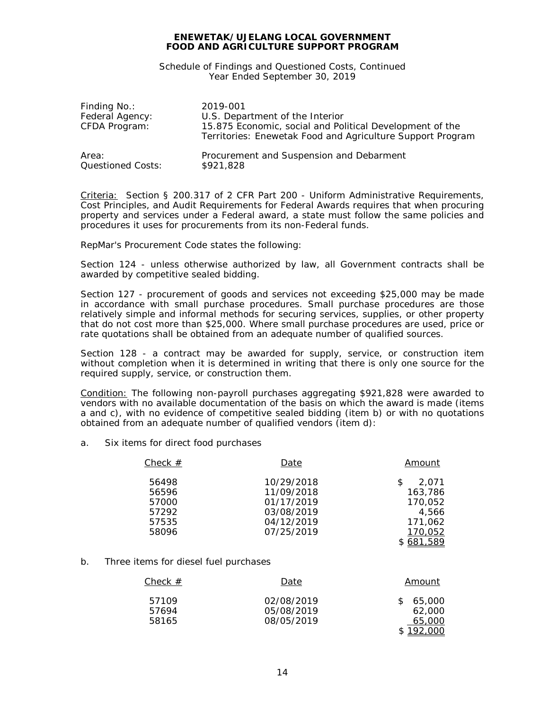Schedule of Findings and Questioned Costs, Continued Year Ended September 30, 2019

| Finding No.:<br>Federal Agency:<br>CFDA Program: | 2019-001<br>U.S. Department of the Interior<br>15.875 Economic, social and Political Development of the<br>Territories: Enewetak Food and Agriculture Support Program |
|--------------------------------------------------|-----------------------------------------------------------------------------------------------------------------------------------------------------------------------|
| Area:                                            | Procurement and Suspension and Debarment                                                                                                                              |
| Questioned Costs:                                | \$921,828                                                                                                                                                             |

Criteria: Section § 200.317 of 2 CFR Part 200 - Uniform Administrative Requirements, Cost Principles, and Audit Requirements for Federal Awards requires that when procuring property and services under a Federal award, a state must follow the same policies and procedures it uses for procurements from its non-Federal funds.

RepMar's Procurement Code states the following:

Section 124 - unless otherwise authorized by law, all Government contracts shall be awarded by competitive sealed bidding.

Section 127 - procurement of goods and services not exceeding \$25,000 may be made in accordance with small purchase procedures. Small purchase procedures are those relatively simple and informal methods for securing services, supplies, or other property that do not cost more than \$25,000. Where small purchase procedures are used, price or rate quotations shall be obtained from an adequate number of qualified sources.

Section 128 - a contract may be awarded for supply, service, or construction item without completion when it is determined in writing that there is only one source for the required supply, service, or construction them.

Condition: The following non-payroll purchases aggregating \$921,828 were awarded to vendors with no available documentation of the basis on which the award is made (items a and c), with no evidence of competitive sealed bidding (item b) or with no quotations obtained from an adequate number of qualified vendors (item d):

a. Six items for direct food purchases

| Check $#$ | Date       | Amount    |
|-----------|------------|-----------|
| 56498     | 10/29/2018 | 2.071     |
| 56596     | 11/09/2018 | 163,786   |
| 57000     | 01/17/2019 | 170,052   |
| 57292     | 03/08/2019 | 4.566     |
| 57535     | 04/12/2019 | 171,062   |
| 58096     | 07/25/2019 | 170.052   |
|           |            | \$681.589 |

#### b. Three items for diesel fuel purchases

| Check $#$ | Date       | Amount    |
|-----------|------------|-----------|
| 57109     | 02/08/2019 | 65,000    |
| 57694     | 05/08/2019 | 62,000    |
| 58165     | 08/05/2019 | 65,000    |
|           |            | \$192.000 |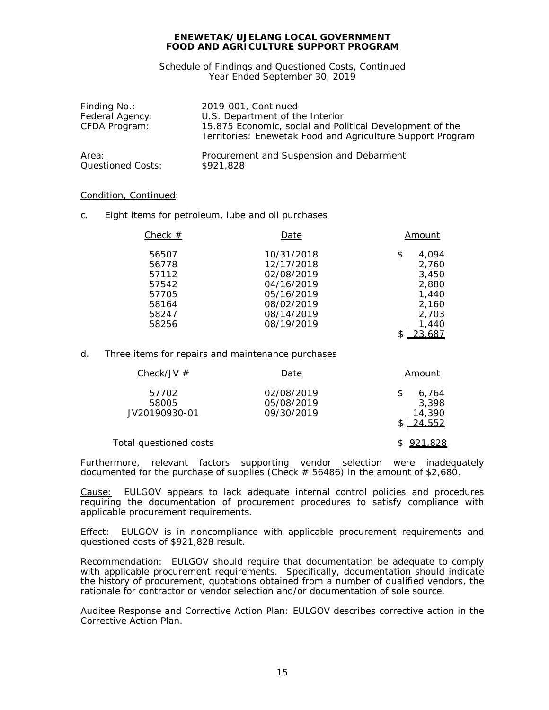Schedule of Findings and Questioned Costs, Continued Year Ended September 30, 2019

| Finding No.:<br>Federal Agency:<br>CFDA Program: | 2019-001, Continued<br>U.S. Department of the Interior<br>15.875 Economic, social and Political Development of the<br>Territories: Enewetak Food and Agriculture Support Program |
|--------------------------------------------------|----------------------------------------------------------------------------------------------------------------------------------------------------------------------------------|
| Area:                                            | Procurement and Suspension and Debarment                                                                                                                                         |
| <b>Questioned Costs:</b>                         | \$921,828                                                                                                                                                                        |

#### Condition, Continued:

#### c. Eight items for petroleum, lube and oil purchases

| Check $#$ | Date       | Amount      |
|-----------|------------|-------------|
| 56507     | 10/31/2018 | 4.094<br>\$ |
| 56778     | 12/17/2018 | 2,760       |
| 57112     | 02/08/2019 | 3,450       |
| 57542     | 04/16/2019 | 2,880       |
| 57705     | 05/16/2019 | 1,440       |
| 58164     | 08/02/2019 | 2,160       |
| 58247     | 08/14/2019 | 2,703       |
| 58256     | 08/19/2019 | 1,440       |
|           |            | 23,687      |

d. Three items for repairs and maintenance purchases

| Check/JV $#$                    | Date                                   | Amount                             |
|---------------------------------|----------------------------------------|------------------------------------|
| 57702<br>58005<br>JV20190930-01 | 02/08/2019<br>05/08/2019<br>09/30/2019 | 6.764<br>3,398<br>14,390<br>24.552 |

Total questioned costs **\$ 921,828** 

Furthermore, relevant factors supporting vendor selection were inadequately documented for the purchase of supplies (Check  $# 56486$ ) in the amount of \$2,680.

Cause: EULGOV appears to lack adequate internal control policies and procedures requiring the documentation of procurement procedures to satisfy compliance with applicable procurement requirements.

**Effect:** EULGOV is in noncompliance with applicable procurement requirements and questioned costs of \$921,828 result.

Recommendation: EULGOV should require that documentation be adequate to comply with applicable procurement requirements. Specifically, documentation should indicate the history of procurement, quotations obtained from a number of qualified vendors, the rationale for contractor or vendor selection and/or documentation of sole source.

Auditee Response and Corrective Action Plan: EULGOV describes corrective action in the Corrective Action Plan.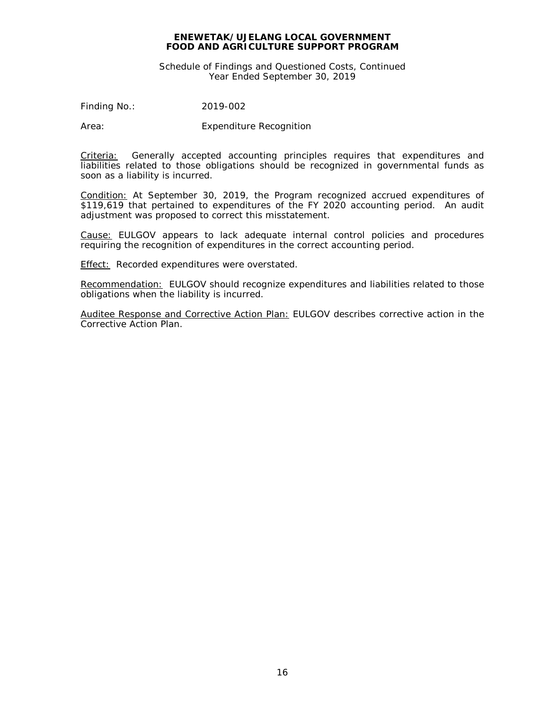Schedule of Findings and Questioned Costs, Continued Year Ended September 30, 2019

Finding No.: 2019-002

Area: Expenditure Recognition

Criteria: Generally accepted accounting principles requires that expenditures and liabilities related to those obligations should be recognized in governmental funds as soon as a liability is incurred.

Condition: At September 30, 2019, the Program recognized accrued expenditures of \$119,619 that pertained to expenditures of the FY 2020 accounting period. An audit adjustment was proposed to correct this misstatement.

Cause: EULGOV appears to lack adequate internal control policies and procedures requiring the recognition of expenditures in the correct accounting period.

Effect: Recorded expenditures were overstated.

Recommendation: EULGOV should recognize expenditures and liabilities related to those obligations when the liability is incurred.

Auditee Response and Corrective Action Plan: EULGOV describes corrective action in the Corrective Action Plan.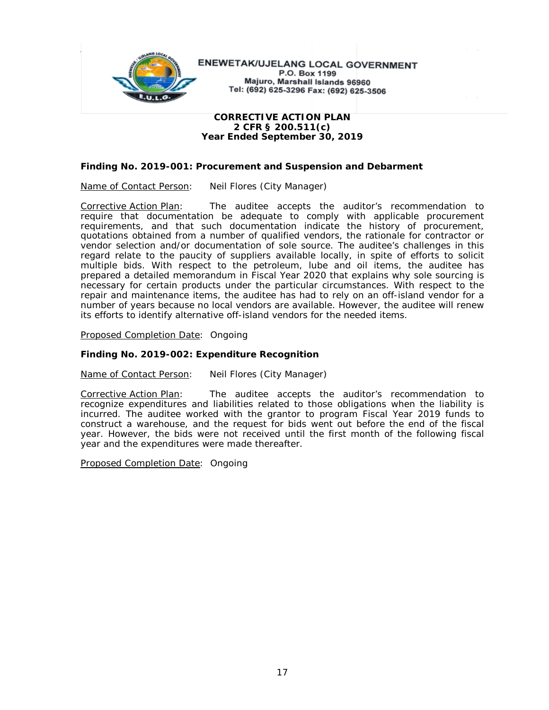

ENEWETAK/UJELANG LOCAL GOVERNMENT P.O. Box 1199 Majuro, Marshall Islands 96960 Tel: (692) 625-3296 Fax: (692) 625-3506

#### **CORRECTIVE ACTION PLAN 2 CFR § 200.511(c) Year Ended September 30, 2019**

#### **Finding No. 2019-001: Procurement and Suspension and Debarment**

Name of Contact Person: Neil Flores (City Manager)

Corrective Action Plan: The auditee accepts the auditor's recommendation to require that documentation be adequate to comply with applicable procurement requirements, and that such documentation indicate the history of procurement, quotations obtained from a number of qualified vendors, the rationale for contractor or vendor selection and/or documentation of sole source. The auditee's challenges in this regard relate to the paucity of suppliers available locally, in spite of efforts to solicit multiple bids. With respect to the petroleum, lube and oil items, the auditee has prepared a detailed memorandum in Fiscal Year 2020 that explains why sole sourcing is necessary for certain products under the particular circumstances. With respect to the repair and maintenance items, the auditee has had to rely on an off-island vendor for a number of years because no local vendors are available. However, the auditee will renew its efforts to identify alternative off-island vendors for the needed items.

Proposed Completion Date: Ongoing

#### **Finding No. 2019-002: Expenditure Recognition**

Name of Contact Person: Neil Flores (City Manager)

Corrective Action Plan: The auditee accepts the auditor's recommendation to recognize expenditures and liabilities related to those obligations when the liability is incurred. The auditee worked with the grantor to program Fiscal Year 2019 funds to construct a warehouse, and the request for bids went out before the end of the fiscal year. However, the bids were not received until the first month of the following fiscal year and the expenditures were made thereafter.

Proposed Completion Date: Ongoing